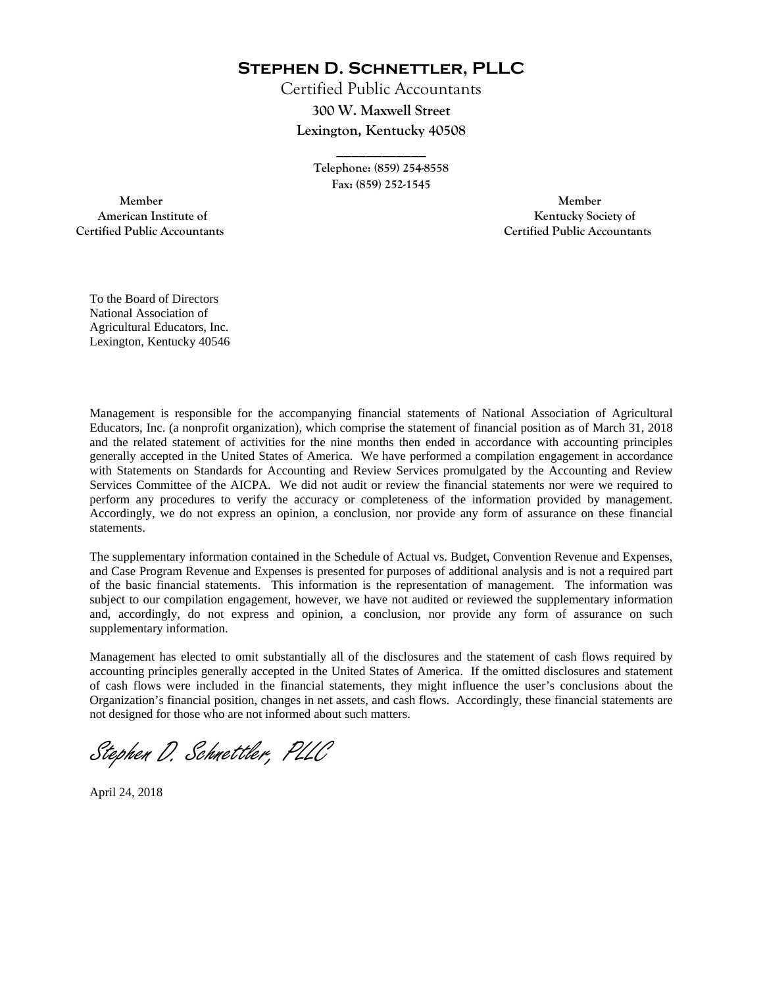**Stephen D. Schnettler, PLLC**

Certified Public Accountants **300 W. Maxwell Street Lexington, Kentucky 40508** 

> **Telephone: (859) 254-8558 Fax: (859) 252-1545**

**\_\_\_\_\_\_\_\_\_\_\_\_** 

 **Member Member Certified Public Accountants Certified Public Accountants** 

American Institute of **Kentucky Society of American Institute of** 

To the Board of Directors National Association of Agricultural Educators, Inc. Lexington, Kentucky 40546

Management is responsible for the accompanying financial statements of National Association of Agricultural Educators, Inc. (a nonprofit organization), which comprise the statement of financial position as of March 31, 2018 and the related statement of activities for the nine months then ended in accordance with accounting principles generally accepted in the United States of America. We have performed a compilation engagement in accordance with Statements on Standards for Accounting and Review Services promulgated by the Accounting and Review Services Committee of the AICPA. We did not audit or review the financial statements nor were we required to perform any procedures to verify the accuracy or completeness of the information provided by management. Accordingly, we do not express an opinion, a conclusion, nor provide any form of assurance on these financial statements.

The supplementary information contained in the Schedule of Actual vs. Budget, Convention Revenue and Expenses, and Case Program Revenue and Expenses is presented for purposes of additional analysis and is not a required part of the basic financial statements. This information is the representation of management. The information was subject to our compilation engagement, however, we have not audited or reviewed the supplementary information and, accordingly, do not express and opinion, a conclusion, nor provide any form of assurance on such supplementary information.

Management has elected to omit substantially all of the disclosures and the statement of cash flows required by accounting principles generally accepted in the United States of America. If the omitted disclosures and statement of cash flows were included in the financial statements, they might influence the user's conclusions about the Organization's financial position, changes in net assets, and cash flows. Accordingly, these financial statements are not designed for those who are not informed about such matters.

Stephen D. Schnettler, PLLC

April 24, 2018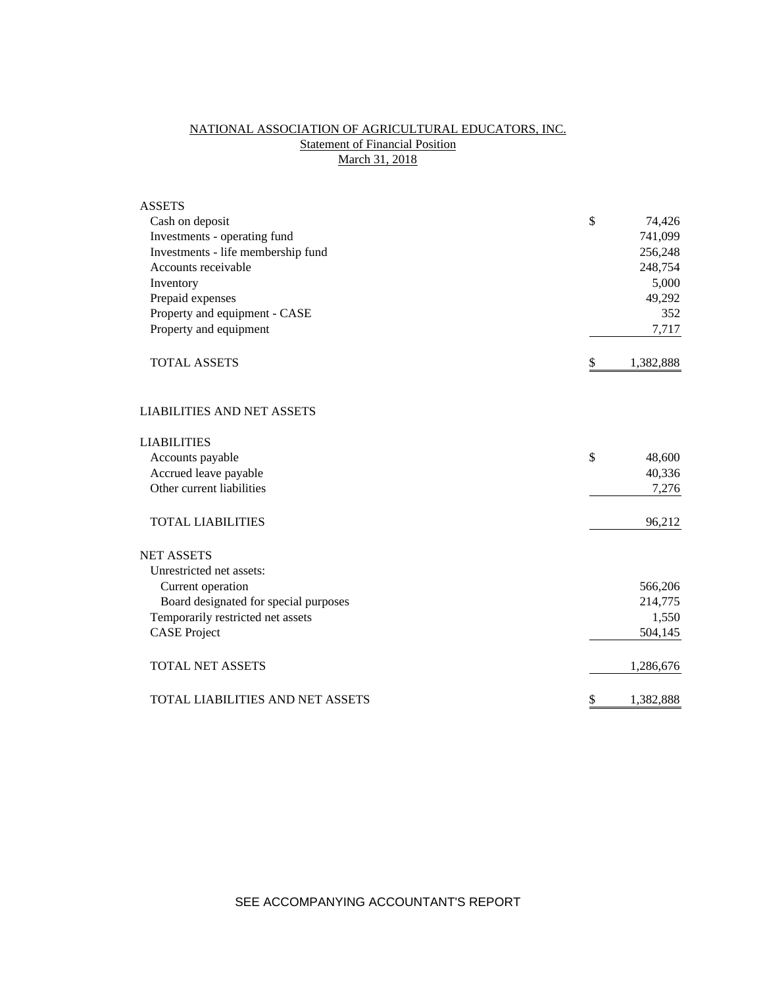# NATIONAL ASSOCIATION OF AGRICULTURAL EDUCATORS, INC. **Statement of Financial Position** March 31, 2018

| <b>ASSETS</b>                           |                 |
|-----------------------------------------|-----------------|
| Cash on deposit                         | \$<br>74,426    |
| Investments - operating fund            | 741,099         |
| Investments - life membership fund      | 256,248         |
| Accounts receivable                     | 248,754         |
| Inventory                               | 5,000           |
| Prepaid expenses                        | 49,292          |
| Property and equipment - CASE           | 352             |
| Property and equipment                  | 7,717           |
| <b>TOTAL ASSETS</b>                     | \$<br>1,382,888 |
| <b>LIABILITIES AND NET ASSETS</b>       |                 |
| <b>LIABILITIES</b>                      |                 |
| Accounts payable                        | \$<br>48,600    |
| Accrued leave payable                   | 40,336          |
| Other current liabilities               | 7,276           |
| <b>TOTAL LIABILITIES</b>                | 96,212          |
| <b>NET ASSETS</b>                       |                 |
| Unrestricted net assets:                |                 |
| Current operation                       | 566,206         |
| Board designated for special purposes   | 214,775         |
| Temporarily restricted net assets       | 1,550           |
| <b>CASE</b> Project                     | 504,145         |
| <b>TOTAL NET ASSETS</b>                 | 1,286,676       |
| <b>TOTAL LIABILITIES AND NET ASSETS</b> | \$<br>1,382,888 |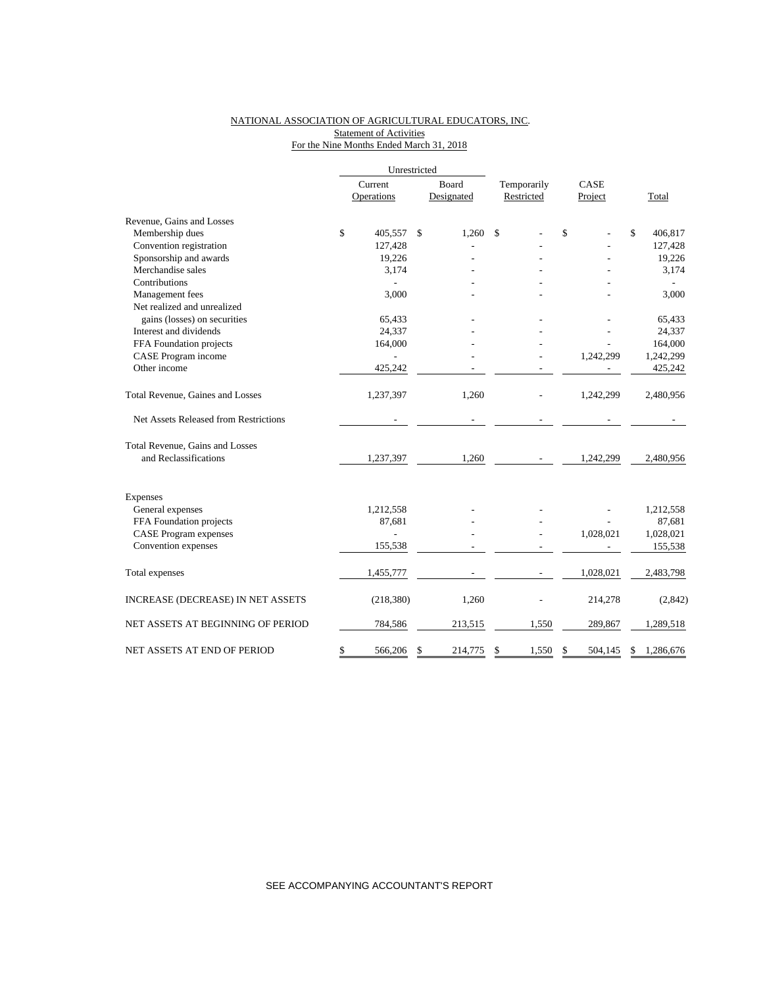### NATIONAL ASSOCIATION OF AGRICULTURAL EDUCATORS, INC. Statement of Activities For the Nine Months Ended March 31, 2018

|                                       | Unrestricted |                |    |            |             |               |              |           |
|---------------------------------------|--------------|----------------|----|------------|-------------|---------------|--------------|-----------|
|                                       |              | Current        |    | Board      | Temporarily | CASE          |              |           |
|                                       |              | Operations     |    | Designated | Restricted  | Project       |              | Total     |
| Revenue, Gains and Losses             |              |                |    |            |             |               |              |           |
| Membership dues                       | \$           | 405,557        | \$ | 1,260      | \$          | \$            | $\mathbb{S}$ | 406,817   |
| Convention registration               |              | 127,428        |    |            |             |               |              | 127,428   |
| Sponsorship and awards                |              | 19,226         |    |            |             |               |              | 19,226    |
| Merchandise sales                     |              | 3,174          |    |            |             |               |              | 3,174     |
| Contributions                         |              |                |    |            |             |               |              |           |
| Management fees                       |              | 3,000          |    |            |             |               |              | 3,000     |
| Net realized and unrealized           |              |                |    |            |             |               |              |           |
| gains (losses) on securities          |              | 65,433         |    |            |             |               |              | 65,433    |
| Interest and dividends                |              | 24,337         |    |            |             |               |              | 24,337    |
| FFA Foundation projects               |              | 164,000        |    |            |             |               |              | 164,000   |
| CASE Program income                   |              |                |    |            |             | 1,242,299     |              | 1,242,299 |
| Other income                          |              | 425,242        |    |            |             |               |              | 425,242   |
| Total Revenue, Gaines and Losses      |              | 1,237,397      |    | 1,260      |             | 1,242,299     |              | 2,480,956 |
| Net Assets Released from Restrictions |              |                |    |            |             |               |              |           |
| Total Revenue, Gains and Losses       |              |                |    |            |             |               |              |           |
| and Reclassifications                 |              | 1,237,397      |    | 1,260      |             | 1,242,299     |              | 2,480,956 |
| Expenses                              |              |                |    |            |             |               |              |           |
| General expenses                      |              | 1,212,558      |    |            |             |               |              | 1,212,558 |
| FFA Foundation projects               |              | 87,681         |    |            |             |               |              | 87,681    |
| <b>CASE</b> Program expenses          |              | $\overline{a}$ |    |            |             | 1,028,021     |              | 1,028,021 |
| Convention expenses                   |              | 155,538        |    |            |             |               |              | 155,538   |
| Total expenses                        |              | 1,455,777      |    |            |             | 1,028,021     |              | 2,483,798 |
|                                       |              |                |    |            |             |               |              |           |
| INCREASE (DECREASE) IN NET ASSETS     |              | (218, 380)     |    | 1,260      |             | 214,278       |              | (2,842)   |
| NET ASSETS AT BEGINNING OF PERIOD     |              | 784,586        |    | 213,515    | 1,550       | 289,867       |              | 1,289,518 |
| NET ASSETS AT END OF PERIOD           | \$           | 566.206        | \$ | 214,775    | \$<br>1,550 | \$<br>504,145 | \$           | 1,286,676 |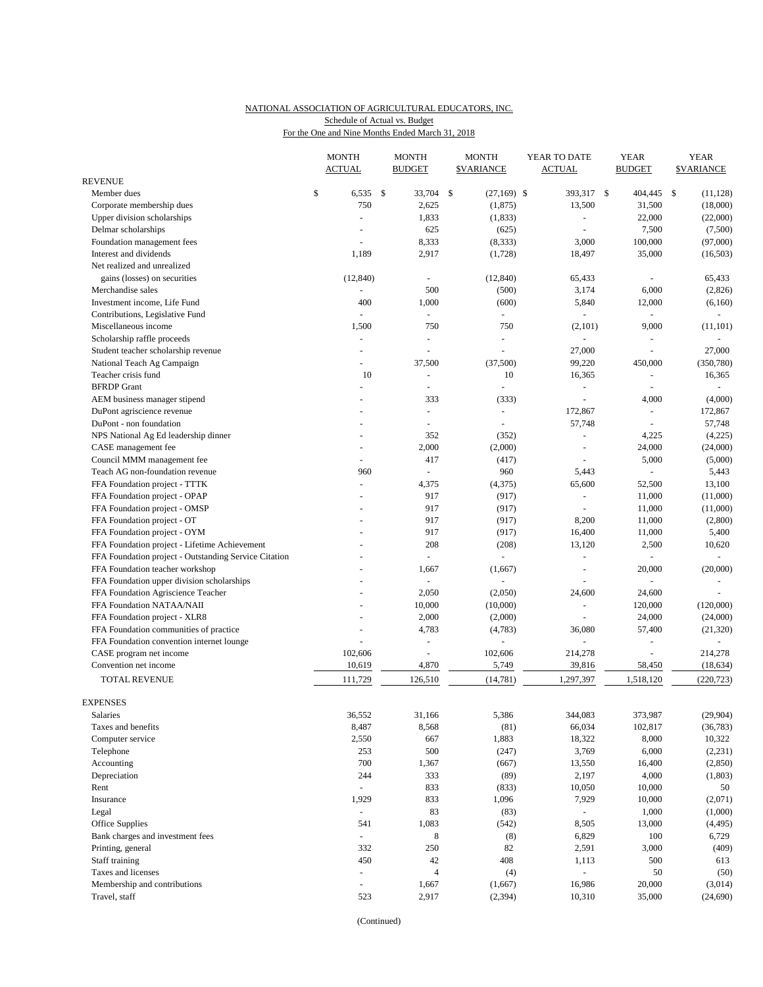## NATIONAL ASSOCIATION OF AGRICULTURAL EDUCATORS, INC. Schedule of Actual vs. Budget

| For the One and Nine Months Ended March 31, 2018 |  |  |
|--------------------------------------------------|--|--|
|                                                  |  |  |

|                                                       |    | <b>MONTH</b><br><b>ACTUAL</b> |  | <b>MONTH</b><br><b>BUDGET</b>     |  | <b>MONTH</b><br><b>\$VARIANCE</b> | YEAR TO DATE<br>ACTUAL |                          | <b>YEAR</b><br><b>BUDGET</b> |                | <b>YEAR</b><br><b>\$VARIANCE</b> |                      |
|-------------------------------------------------------|----|-------------------------------|--|-----------------------------------|--|-----------------------------------|------------------------|--------------------------|------------------------------|----------------|----------------------------------|----------------------|
| <b>REVENUE</b>                                        |    |                               |  |                                   |  |                                   |                        |                          |                              |                |                                  |                      |
| Member dues                                           | \$ | $6,535$ \$                    |  | 33,704 \$                         |  | $(27,169)$ \$                     |                        | 393,317 \$               |                              | 404,445 \$     |                                  | (11, 128)            |
| Corporate membership dues                             |    | 750                           |  | 2,625                             |  | (1, 875)                          |                        | 13,500                   |                              | 31,500         |                                  | (18,000)             |
| Upper division scholarships                           |    | ÷,                            |  | 1,833                             |  | (1, 833)                          |                        | $\blacksquare$           |                              | 22,000         |                                  | (22,000)             |
| Delmar scholarships                                   |    |                               |  | 625                               |  | (625)                             |                        |                          |                              | 7,500          |                                  | (7,500)              |
| Foundation management fees                            |    | $\overline{a}$                |  | 8,333                             |  | (8, 333)                          |                        | 3,000                    |                              | 100,000        |                                  | (97,000)             |
| Interest and dividends                                |    | 1,189                         |  | 2,917                             |  | (1,728)                           |                        | 18,497                   |                              | 35,000         |                                  | (16, 503)            |
| Net realized and unrealized                           |    |                               |  |                                   |  |                                   |                        |                          |                              |                |                                  |                      |
| gains (losses) on securities                          |    | (12, 840)                     |  |                                   |  | (12, 840)                         |                        | 65,433                   |                              |                |                                  | 65,433               |
| Merchandise sales                                     |    | $\overline{\phantom{a}}$      |  | 500                               |  | (500)                             |                        | 3,174                    |                              | 6,000          |                                  | (2,826)              |
| Investment income, Life Fund                          |    | 400                           |  | 1,000                             |  | (600)                             |                        | 5,840                    |                              | 12,000         |                                  | (6,160)              |
| Contributions, Legislative Fund                       |    |                               |  |                                   |  |                                   |                        |                          |                              |                |                                  |                      |
| Miscellaneous income                                  |    | 1,500                         |  | 750                               |  | 750                               |                        | (2,101)                  |                              | 9,000          |                                  | (11, 101)            |
| Scholarship raffle proceeds                           |    | ÷,                            |  | $\sim$                            |  |                                   |                        | $\omega$                 |                              |                |                                  |                      |
| Student teacher scholarship revenue                   |    |                               |  | $\sim$                            |  |                                   |                        | 27,000                   |                              | ÷,             |                                  | 27,000               |
| National Teach Ag Campaign                            |    |                               |  | 37,500                            |  | (37,500)                          |                        | 99,220                   |                              | 450,000        |                                  | (350, 780)           |
| Teacher crisis fund                                   |    | 10                            |  | $\overline{\phantom{a}}$          |  | 10                                |                        | 16,365                   |                              | $\overline{a}$ |                                  | 16,365               |
| <b>BFRDP</b> Grant                                    |    |                               |  | $\overline{\phantom{a}}$          |  | $\equiv$                          |                        | $\blacksquare$           |                              | ÷,             |                                  |                      |
| AEM business manager stipend                          |    |                               |  | 333                               |  | (333)                             |                        | ÷                        |                              | 4,000          |                                  | (4,000)              |
| DuPont agriscience revenue                            |    |                               |  | $\omega$                          |  | $\omega$                          |                        | 172,867                  |                              | $\omega$       |                                  | 172,867              |
| DuPont - non foundation                               |    |                               |  | $\sim$                            |  | $\sim$                            |                        | 57,748                   |                              | ÷,             |                                  | 57,748               |
| NPS National Ag Ed leadership dinner                  |    |                               |  | 352                               |  | (352)                             |                        | $\equiv$                 |                              | 4,225          |                                  | (4,225)              |
| CASE management fee                                   |    |                               |  | 2,000                             |  | (2,000)                           |                        | $\sim$                   |                              | 24,000         |                                  | (24,000)             |
| Council MMM management fee                            |    |                               |  | 417                               |  | (417)                             |                        |                          |                              | 5,000          |                                  | (5,000)              |
| Teach AG non-foundation revenue                       |    | 960                           |  | $\overline{a}$                    |  | 960                               |                        | 5,443                    |                              | L.             |                                  | 5,443                |
| FFA Foundation project - TTTK                         |    | ÷,                            |  | 4,375                             |  | (4,375)                           |                        | 65,600                   |                              | 52,500         |                                  | 13,100               |
| FFA Foundation project - OPAP                         |    |                               |  | 917                               |  | (917)                             |                        | $\sim$                   |                              | 11,000         |                                  | (11,000)             |
| FFA Foundation project - OMSP                         |    |                               |  | 917                               |  | (917)                             |                        | $\bar{\phantom{a}}$      |                              | 11,000         |                                  | (11,000)             |
| FFA Foundation project - OT                           |    |                               |  | 917                               |  | (917)                             |                        | 8,200                    |                              | 11,000         |                                  | (2,800)              |
| FFA Foundation project - OYM                          |    |                               |  | 917                               |  | (917)                             |                        | 16,400                   |                              | 11,000         |                                  | 5,400                |
| FFA Foundation project - Lifetime Achievement         |    |                               |  | 208                               |  | (208)                             |                        | 13,120                   |                              | 2,500          |                                  | 10,620               |
| FFA Foundation project - Outstanding Service Citation |    |                               |  |                                   |  |                                   |                        |                          |                              | L.             |                                  | $\omega$             |
| FFA Foundation teacher workshop                       |    |                               |  | 1,667                             |  | (1,667)                           |                        | $\overline{\phantom{a}}$ |                              | 20,000         |                                  | (20,000)             |
| FFA Foundation upper division scholarships            |    |                               |  |                                   |  |                                   |                        |                          |                              |                |                                  |                      |
| FFA Foundation Agriscience Teacher                    |    |                               |  | 2,050                             |  | (2,050)                           |                        | 24,600                   |                              | 24,600         |                                  |                      |
| FFA Foundation NATAA/NAII                             |    |                               |  | 10,000                            |  | (10,000)                          |                        | $\blacksquare$           |                              | 120,000        |                                  | (120,000)            |
| FFA Foundation project - XLR8                         |    |                               |  | 2,000                             |  | (2,000)                           |                        |                          |                              | 24,000         |                                  | (24,000)             |
| FFA Foundation communities of practice                |    |                               |  | 4,783                             |  | (4,783)                           |                        | 36,080                   |                              | 57,400         |                                  | (21, 320)            |
| FFA Foundation convention internet lounge             |    |                               |  | $\overline{\phantom{a}}$          |  | 102,606                           |                        | 214,278                  |                              | ÷,             |                                  |                      |
| CASE program net income                               |    | 102,606<br>10,619             |  | $\overline{\phantom{a}}$<br>4,870 |  | 5,749                             |                        | 39,816                   |                              | L.<br>58,450   |                                  | 214,278<br>(18, 634) |
| Convention net income                                 |    |                               |  |                                   |  |                                   |                        |                          |                              |                |                                  |                      |
| TOTAL REVENUE                                         |    | 111,729                       |  | 126,510                           |  | (14, 781)                         |                        | 1,297,397                |                              | 1,518,120      |                                  | (220, 723)           |
| <b>EXPENSES</b>                                       |    |                               |  |                                   |  |                                   |                        |                          |                              |                |                                  |                      |
| Salaries                                              |    | 36,552                        |  | 31,166                            |  | 5,386                             |                        | 344,083                  |                              | 373,987        |                                  | (29,904)             |
| Taxes and benefits                                    |    | 8,487                         |  | 8,568                             |  | (81)                              |                        | 66,034                   |                              | 102,817        |                                  | (36, 783)            |
| Computer service                                      |    | 2,550                         |  | 667                               |  | 1,883                             |                        | 18,322                   |                              | 8,000          |                                  | 10,322               |
| Telephone                                             |    | 253                           |  | 500                               |  | (247)                             |                        | 3,769                    |                              | 6,000          |                                  | (2, 231)             |
| Accounting                                            |    | 700                           |  | 1,367                             |  | (667)                             |                        | 13,550                   |                              | 16,400         |                                  | (2, 850)             |
| Depreciation                                          |    | 244                           |  | 333                               |  | (89)                              |                        | 2,197                    |                              | 4,000          |                                  | (1,803)              |
| Rent                                                  |    | $\overline{\phantom{a}}$      |  | 833                               |  | (833)                             |                        | 10,050                   |                              | 10,000         |                                  | 50                   |
| Insurance                                             |    | 1,929                         |  | 833                               |  | 1,096                             |                        | 7,929                    |                              | 10,000         |                                  | (2,071)              |
| Legal                                                 |    | $\blacksquare$                |  | 83                                |  | (83)                              |                        | $\equiv$                 |                              | 1,000          |                                  | (1,000)              |
| Office Supplies                                       |    | 541                           |  | 1,083                             |  | (542)                             |                        | 8,505                    |                              | 13,000         |                                  | (4, 495)             |
| Bank charges and investment fees                      |    | $\blacksquare$                |  | $\,8\,$                           |  | (8)                               |                        | 6,829                    |                              | 100            |                                  | 6,729                |
| Printing, general                                     |    | 332                           |  | 250                               |  | 82                                |                        | 2,591                    |                              | 3,000          |                                  | (409)                |
| Staff training                                        |    | 450                           |  | 42                                |  | 408                               |                        | 1,113                    |                              | 500            |                                  | 613                  |
| Taxes and licenses                                    |    | $\blacksquare$                |  | $\overline{4}$                    |  | (4)                               |                        | $\omega_{\rm c}$         |                              | 50             |                                  | (50)                 |
| Membership and contributions                          |    | $\overline{\phantom{a}}$      |  | 1,667                             |  | (1,667)                           |                        | 16,986                   |                              | 20,000         |                                  | (3,014)              |
| Travel, staff                                         |    | 523                           |  | 2,917                             |  | (2, 394)                          |                        | 10,310                   |                              | 35,000         |                                  | (24,690)             |

(Continued)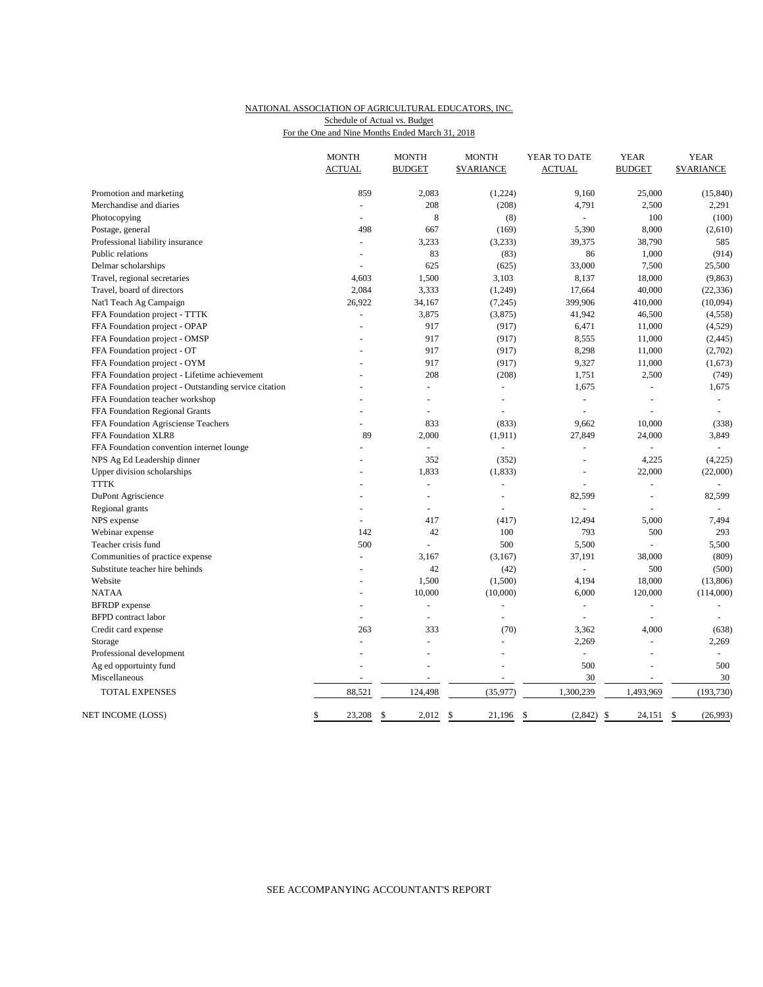### NATIONAL ASSOCIATION OF AGRICULTURAL EDUCATORS, INC. For the One and Nine Months Ended March 31, 2018 Schedule of Actual vs. Budget

|                                                       | <b>MONTH</b><br><b>ACTUAL</b> | <b>MONTH</b><br><b>BUDGET</b> | <b>MONTH</b><br><b><i>SVARIANCE</i></b> | YEAR TO DATE<br><b>ACTUAL</b> | <b>YEAR</b><br><b>BUDGET</b> | <b>YEAR</b><br><b>SVARIANCE</b> |
|-------------------------------------------------------|-------------------------------|-------------------------------|-----------------------------------------|-------------------------------|------------------------------|---------------------------------|
| Promotion and marketing                               | 859                           | 2,083                         | (1,224)                                 | 9,160                         | 25,000                       | (15, 840)                       |
| Merchandise and diaries                               | ÷,                            | 208                           | (208)                                   | 4,791                         | 2,500                        | 2,291                           |
| Photocopying                                          |                               | 8                             | (8)                                     | $\sim$                        | 100                          | (100)                           |
| Postage, general                                      | 498                           | 667                           | (169)                                   | 5,390                         | 8,000                        | (2,610)                         |
| Professional liability insurance                      | ÷.                            | 3,233                         | (3,233)                                 | 39,375                        | 38,790                       | 585                             |
| Public relations                                      | ÷,                            | 83                            | (83)                                    | 86                            | 1,000                        | (914)                           |
| Delmar scholarships                                   | L.                            | 625                           | (625)                                   | 33,000                        | 7,500                        | 25,500                          |
| Travel, regional secretaries                          | 4.603                         | 1,500                         | 3,103                                   | 8,137                         | 18,000                       | (9, 863)                        |
| Travel, board of directors                            | 2,084                         | 3,333                         | (1,249)                                 | 17,664                        | 40,000                       | (22, 336)                       |
| Nat'l Teach Ag Campaign                               | 26,922                        | 34,167                        | (7, 245)                                | 399,906                       | 410,000                      | (10,094)                        |
| FFA Foundation project - TTTK                         |                               | 3,875                         | (3,875)                                 | 41,942                        | 46,500                       | (4,558)                         |
| FFA Foundation project - OPAP                         |                               | 917                           | (917)                                   | 6,471                         | 11,000                       | (4,529)                         |
| FFA Foundation project - OMSP                         |                               | 917                           | (917)                                   | 8,555                         | 11,000                       | (2, 445)                        |
| FFA Foundation project - OT                           |                               | 917                           | (917)                                   | 8,298                         | 11,000                       | (2,702)                         |
| FFA Foundation project - OYM                          |                               | 917                           | (917)                                   | 9,327                         | 11,000                       | (1,673)                         |
| FFA Foundation project - Lifetime achievement         |                               | 208                           | (208)                                   | 1,751                         | 2,500                        | (749)                           |
| FFA Foundation project - Outstanding service citation |                               | L,                            | $\sim$                                  | 1,675                         | L.                           | 1,675                           |
| FFA Foundation teacher workshop                       |                               |                               |                                         | $\bar{\phantom{a}}$           | $\overline{a}$               | $\omega$                        |
| FFA Foundation Regional Grants                        |                               | $\overline{a}$                | $\overline{a}$                          | $\overline{a}$                | L,                           |                                 |
| FFA Foundation Agrisciense Teachers                   | $\overline{a}$                | 833                           | (833)                                   | 9,662                         | 10,000                       | (338)                           |
| FFA Foundation XLR8                                   | 89                            | 2,000                         | (1, 911)                                | 27,849                        | 24,000                       | 3,849                           |
| FFA Foundation convention internet lounge             |                               | ä,                            | $\sim$                                  | L.                            |                              | $\overline{a}$                  |
| NPS Ag Ed Leadership dinner                           |                               | 352                           | (352)                                   | $\overline{a}$                | 4,225                        | (4,225)                         |
| Upper division scholarships                           |                               | 1,833                         | (1, 833)                                |                               | 22,000                       | (22,000)                        |
| <b>TTTK</b>                                           |                               | L,                            | $\sim$                                  |                               | ÷,                           |                                 |
| DuPont Agriscience                                    |                               | L,                            | ÷,                                      | 82,599                        | L,                           | 82,599                          |
| Regional grants                                       |                               |                               |                                         |                               |                              |                                 |
| NPS expense                                           | ÷.                            | 417                           | (417)                                   | 12,494                        | 5,000                        | 7,494                           |
| Webinar expense                                       | 142                           | 42                            | 100                                     | 793                           | 500                          | 293                             |
| Teacher crisis fund                                   | 500                           | L,                            | 500                                     | 5,500                         |                              | 5,500                           |
| Communities of practice expense                       | $\overline{a}$                | 3,167                         | (3,167)                                 | 37,191                        | 38,000                       | (809)                           |
| Substitute teacher hire behinds                       | $\overline{a}$                | 42                            | (42)                                    | $\blacksquare$                | 500                          | (500)                           |
| Website                                               | $\overline{a}$                | 1,500                         | (1,500)                                 | 4,194                         | 18,000                       | (13,806)                        |
| <b>NATAA</b>                                          |                               | 10,000                        | (10,000)                                | 6,000                         | 120,000                      | (114,000)                       |
| <b>BFRDP</b> expense                                  | L,                            | ÷,                            | $\sim$                                  | $\overline{\phantom{a}}$      | $\bar{a}$                    | $\sim$                          |
| <b>BFPD</b> contract labor                            | ÷.                            | L,                            | $\overline{a}$                          | $\overline{\phantom{a}}$      | L.                           |                                 |
| Credit card expense                                   | 263                           | 333                           | (70)                                    | 3,362                         | 4,000                        | (638)                           |
| Storage                                               | L.                            | ÷,                            |                                         | 2,269                         | L,                           | 2,269                           |
| Professional development                              |                               | ÷,                            |                                         | L,                            | L.                           | $\omega$                        |
| Ag ed opportuinty fund                                |                               |                               |                                         | 500                           |                              | 500                             |
| Miscellaneous                                         |                               |                               |                                         | 30                            |                              | 30                              |
| TOTAL EXPENSES                                        | 88,521                        | 124,498                       | (35, 977)                               | 1,300,239                     | 1,493,969                    | (193, 730)                      |
| NET INCOME (LOSS)                                     | \$<br>23,208                  | \$<br>2,012                   | \$<br>21,196                            | \$<br>(2,842)                 | \$<br>24,151                 | \$<br>(26,993)                  |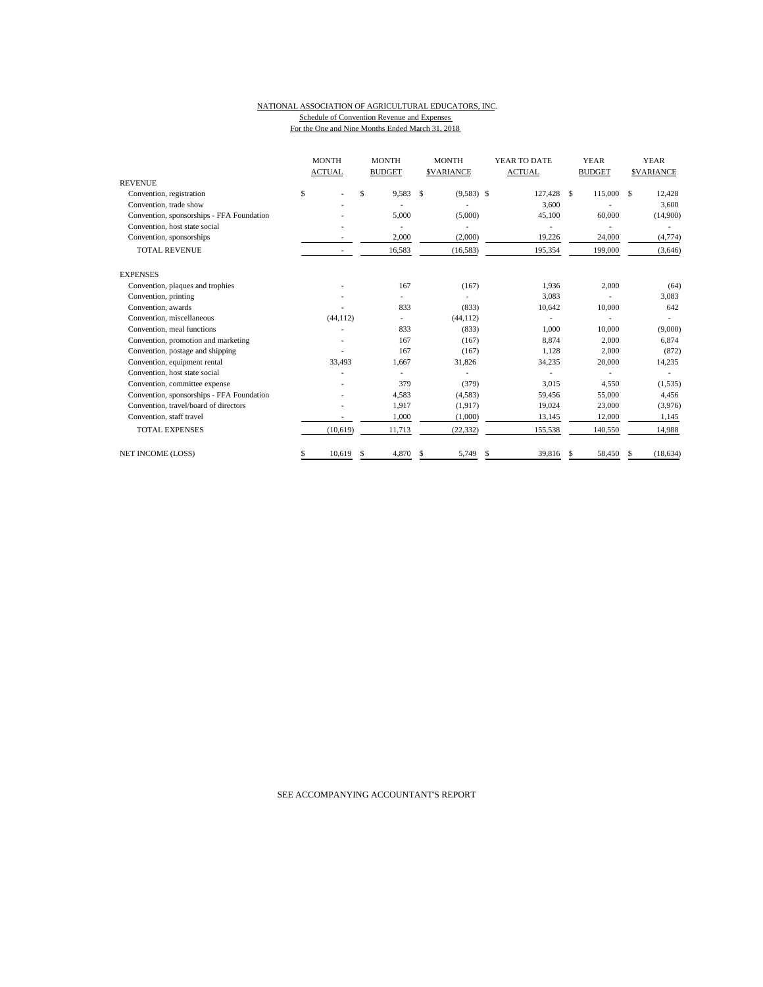#### NATIONAL ASSOCIATION OF AGRICULTURAL EDUCATORS, INC. Schedule of Convention Revenue and Expenses For the One and Nine Months Ended March 31, 2018

|                                           | <b>MONTH</b><br><b>ACTUAL</b> | <b>MONTH</b><br><b>BUDGET</b> | <b>MONTH</b><br><b>SVARIANCE</b> | YEAR TO DATE<br><b>ACTUAL</b> | <b>YEAR</b><br><b>BUDGET</b> | <b>YEAR</b><br><b>SVARIANCE</b> |
|-------------------------------------------|-------------------------------|-------------------------------|----------------------------------|-------------------------------|------------------------------|---------------------------------|
| <b>REVENUE</b>                            |                               |                               |                                  |                               |                              |                                 |
| Convention, registration                  | \$                            | 9,583<br>\$                   | S<br>$(9,583)$ \$                | 127,428 \$                    | 115,000 \$                   | 12,428                          |
| Convention, trade show                    |                               |                               |                                  | 3,600                         |                              | 3,600                           |
| Convention, sponsorships - FFA Foundation |                               | 5.000                         | (5,000)                          | 45,100                        | 60,000                       | (14,900)                        |
| Convention, host state social             |                               |                               |                                  |                               |                              |                                 |
| Convention, sponsorships                  |                               | 2,000                         | (2,000)                          | 19,226                        | 24,000                       | (4, 774)                        |
| <b>TOTAL REVENUE</b>                      |                               | 16,583                        | (16, 583)                        | 195,354                       | 199,000                      | (3,646)                         |
| <b>EXPENSES</b>                           |                               |                               |                                  |                               |                              |                                 |
| Convention, plaques and trophies          |                               | 167                           | (167)                            | 1,936                         | 2,000                        | (64)                            |
| Convention, printing                      |                               | ٠                             |                                  | 3,083                         |                              | 3,083                           |
| Convention, awards                        |                               | 833                           | (833)                            | 10,642                        | 10,000                       | 642                             |
| Convention, miscellaneous                 | (44, 112)                     |                               | (44, 112)                        |                               |                              |                                 |
| Convention, meal functions                |                               | 833                           | (833)                            | 1.000                         | 10,000                       | (9,000)                         |
| Convention, promotion and marketing       |                               | 167                           | (167)                            | 8,874                         | 2,000                        | 6,874                           |
| Convention, postage and shipping          |                               | 167                           | (167)                            | 1.128                         | 2.000                        | (872)                           |
| Convention, equipment rental              | 33,493                        | 1.667                         | 31,826                           | 34,235                        | 20,000                       | 14,235                          |
| Convention, host state social             |                               |                               |                                  |                               |                              |                                 |
| Convention, committee expense             |                               | 379                           | (379)                            | 3,015                         | 4,550                        | (1, 535)                        |
| Convention, sponsorships - FFA Foundation |                               | 4,583                         | (4,583)                          | 59,456                        | 55,000                       | 4,456                           |
| Convention, travel/board of directors     |                               | 1,917                         | (1,917)                          | 19,024                        | 23,000                       | (3,976)                         |
| Convention, staff travel                  |                               | 1,000                         | (1,000)                          | 13,145                        | 12,000                       | 1,145                           |
| <b>TOTAL EXPENSES</b>                     | (10,619)                      | 11,713                        | (22, 332)                        | 155,538                       | 140,550                      | 14,988                          |
| NET INCOME (LOSS)                         | 10,619<br>S.                  | 4,870<br>S.                   | 5,749<br>\$                      | 39.816<br>S                   | 58,450<br>£.                 | (18, 634)<br>S                  |